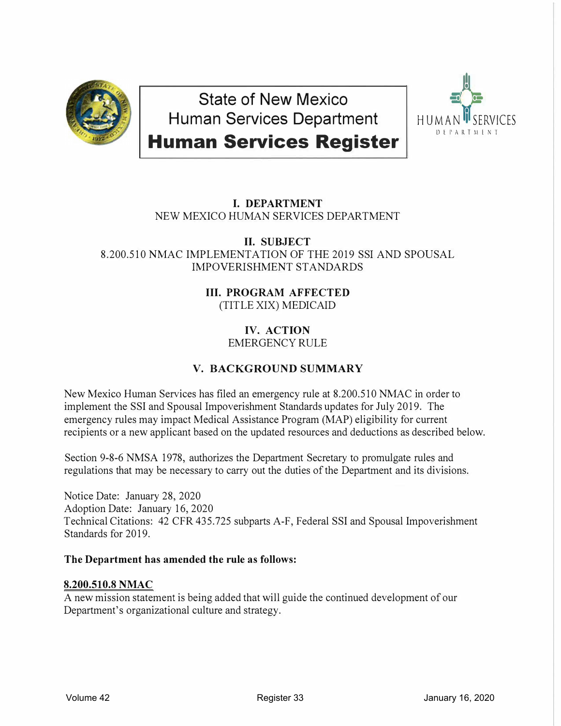

**State of New Mexico Human Services Department** 



**Human Services Register** 

## **I. DEPARTMENT** NEW MEXICO HUMAN SERVICES DEPARTMENT

#### **II. SUBJECT** 8.200.510 NMAC IMPLEMENTATION OF THE 2019 SSI AND SPOUSAL IMPOVERISHMENT STANDARDS

## **III. PROGRAM AFFECTED** (TITLE XIX) MEDICAID

### **IV. ACTION** EMERGENCY RULE

# **V. BACKGROUND SUMMARY**

New Mexico Human Services has filed an emergency rule at 8.200.510 NMAC in order to implement the SSI and Spousal Impoverishment Standards updates for July 2019. The emergency rules may impact Medical Assistance Program (MAP) eligibility for current recipients or a new applicant based on the updated resources and deductions as described below.

Section 9-8-6 NMSA 1978, authorizes the Department Secretary to promulgate rules and regulations that may be necessary to carry out the duties of the Department and its divisions.

Notice Date: January 28, 2020 Adoption Date: January 16, 2020 Technical Citations: 42 CFR 435.725 subparts A-F, Federal SSI and Spousal Impoverishment Standards for 2019.

## **The Department has amended the rule as follows:**

#### **8.200.510.8 NMAC**

A new mission statement is being added that will guide the continued development of our Department's organizational culture and strategy.